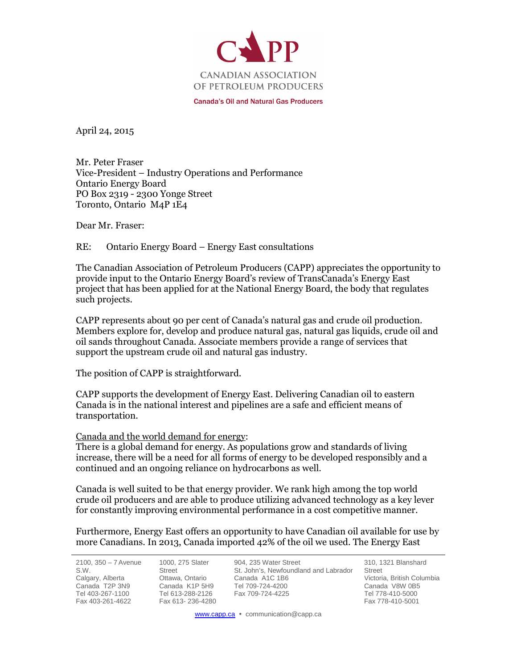

**Canada's Oil and Natural Gas Producers** 

April 24, 2015

Mr. Peter Fraser Vice-President – Industry Operations and Performance Ontario Energy Board PO Box 2319 - 2300 Yonge Street Toronto, Ontario M4P 1E4

Dear Mr. Fraser:

### RE: Ontario Energy Board – Energy East consultations

The Canadian Association of Petroleum Producers (CAPP) appreciates the opportunity to provide input to the Ontario Energy Board's review of TransCanada's Energy East project that has been applied for at the National Energy Board, the body that regulates such projects.

CAPP represents about 90 per cent of Canada's natural gas and crude oil production. Members explore for, develop and produce natural gas, natural gas liquids, crude oil and oil sands throughout Canada. Associate members provide a range of services that support the upstream crude oil and natural gas industry.

The position of CAPP is straightforward.

CAPP supports the development of Energy East. Delivering Canadian oil to eastern Canada is in the national interest and pipelines are a safe and efficient means of transportation.

### Canada and the world demand for energy:

There is a global demand for energy. As populations grow and standards of living increase, there will be a need for all forms of energy to be developed responsibly and a continued and an ongoing reliance on hydrocarbons as well.

Canada is well suited to be that energy provider. We rank high among the top world crude oil producers and are able to produce utilizing advanced technology as a key lever for constantly improving environmental performance in a cost competitive manner.

Furthermore, Energy East offers an opportunity to have Canadian oil available for use by more Canadians. In 2013, Canada imported 42% of the oil we used. The Energy East

 $2100, 350 - 7$  Avenue S.W. Calgary, Alberta Canada T2P 3N9 Tel 403-267-1100 Fax 403-261-4622

1000, 275 Slater Street Ottawa, Ontario Canada K1P 5H9 Tel 613-288-2126 Fax 613- 236-4280

904, 235 Water Street St. John's, Newfoundland and Labrador Canada A1C 1B6 Tel 709-724-4200 Fax 709-724-4225

310, 1321 Blanshard Street Victoria, British Columbia Canada V8W 0B5 Tel 778-410-5000 Fax 778-410-5001

www.capp.ca • communication@capp.ca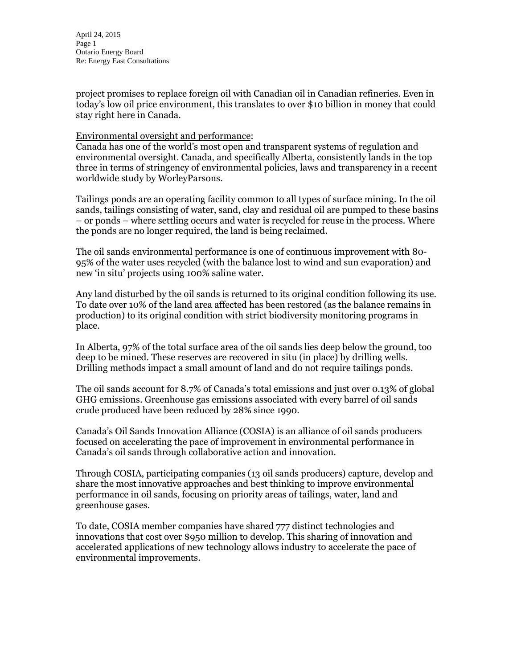project promises to replace foreign oil with Canadian oil in Canadian refineries. Even in today's low oil price environment, this translates to over \$10 billion in money that could stay right here in Canada.

### Environmental oversight and performance:

Canada has one of the world's most open and transparent systems of regulation and environmental oversight. Canada, and specifically Alberta, consistently lands in the top three in terms of stringency of environmental policies, laws and transparency in a recent worldwide study by WorleyParsons.

Tailings ponds are an operating facility common to all types of surface mining. In the oil sands, tailings consisting of water, sand, clay and residual oil are pumped to these basins – or ponds – where settling occurs and water is recycled for reuse in the process. Where the ponds are no longer required, the land is being reclaimed.

The oil sands environmental performance is one of continuous improvement with 80- 95% of the water uses recycled (with the balance lost to wind and sun evaporation) and new 'in situ' projects using 100% saline water.

Any land disturbed by the oil sands is returned to its original condition following its use. To date over 10% of the land area affected has been restored (as the balance remains in production) to its original condition with strict biodiversity monitoring programs in place.

In Alberta, 97% of the total surface area of the oil sands lies deep below the ground, too deep to be mined. These reserves are recovered in situ (in place) by drilling wells. Drilling methods impact a small amount of land and do not require tailings ponds.

The oil sands account for 8.7% of Canada's total emissions and just over 0.13% of global GHG emissions. Greenhouse gas emissions associated with every barrel of oil sands crude produced have been reduced by 28% since 1990.

Canada's Oil Sands Innovation Alliance (COSIA) is an alliance of oil sands producers focused on accelerating the pace of improvement in environmental performance in Canada's oil sands through collaborative action and innovation.

Through COSIA, participating companies (13 oil sands producers) capture, develop and share the most innovative approaches and best thinking to improve environmental performance in oil sands, focusing on priority areas of tailings, water, land and greenhouse gases.

To date, COSIA member companies have shared 777 distinct technologies and innovations that cost over \$950 million to develop. This sharing of innovation and accelerated applications of new technology allows industry to accelerate the pace of environmental improvements.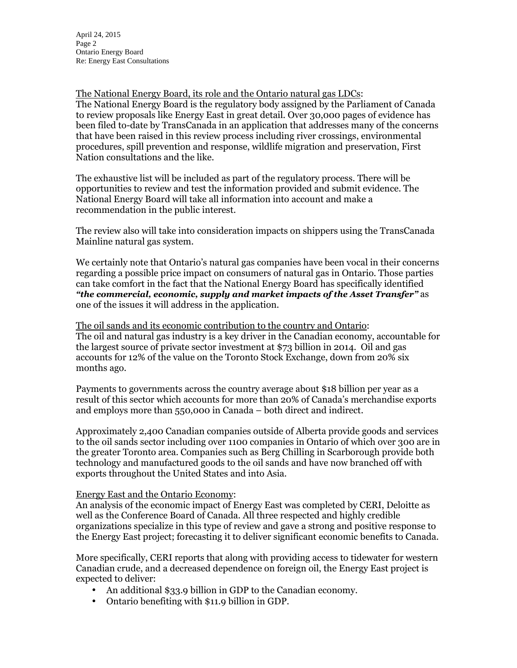The National Energy Board, its role and the Ontario natural gas LDCs: The National Energy Board is the regulatory body assigned by the Parliament of Canada to review proposals like Energy East in great detail. Over 30,000 pages of evidence has been filed to-date by TransCanada in an application that addresses many of the concerns that have been raised in this review process including river crossings, environmental procedures, spill prevention and response, wildlife migration and preservation, First Nation consultations and the like.

The exhaustive list will be included as part of the regulatory process. There will be opportunities to review and test the information provided and submit evidence. The National Energy Board will take all information into account and make a recommendation in the public interest.

The review also will take into consideration impacts on shippers using the TransCanada Mainline natural gas system.

We certainly note that Ontario's natural gas companies have been vocal in their concerns regarding a possible price impact on consumers of natural gas in Ontario. Those parties can take comfort in the fact that the National Energy Board has specifically identified *"the commercial, economic, supply and market impacts of the Asset Transfer"* as one of the issues it will address in the application.

The oil sands and its economic contribution to the country and Ontario: The oil and natural gas industry is a key driver in the Canadian economy, accountable for the largest source of private sector investment at \$73 billion in 2014. Oil and gas accounts for 12% of the value on the Toronto Stock Exchange, down from 20% six months ago.

Payments to governments across the country average about \$18 billion per year as a result of this sector which accounts for more than 20% of Canada's merchandise exports and employs more than 550,000 in Canada – both direct and indirect.

Approximately 2,400 Canadian companies outside of Alberta provide goods and services to the oil sands sector including over 1100 companies in Ontario of which over 300 are in the greater Toronto area. Companies such as Berg Chilling in Scarborough provide both technology and manufactured goods to the oil sands and have now branched off with exports throughout the United States and into Asia.

# Energy East and the Ontario Economy:

An analysis of the economic impact of Energy East was completed by CERI, Deloitte as well as the Conference Board of Canada. All three respected and highly credible organizations specialize in this type of review and gave a strong and positive response to the Energy East project; forecasting it to deliver significant economic benefits to Canada.

More specifically, CERI reports that along with providing access to tidewater for western Canadian crude, and a decreased dependence on foreign oil, the Energy East project is expected to deliver:

- An additional \$33.9 billion in GDP to the Canadian economy.
- Ontario benefiting with \$11.9 billion in GDP.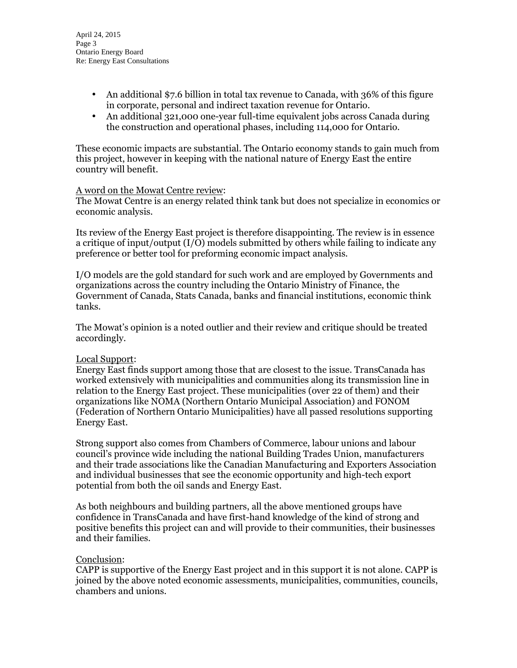- An additional \$7.6 billion in total tax revenue to Canada, with 36% of this figure in corporate, personal and indirect taxation revenue for Ontario.
- An additional 321,000 one-year full-time equivalent jobs across Canada during the construction and operational phases, including 114,000 for Ontario.

These economic impacts are substantial. The Ontario economy stands to gain much from this project, however in keeping with the national nature of Energy East the entire country will benefit.

### A word on the Mowat Centre review:

The Mowat Centre is an energy related think tank but does not specialize in economics or economic analysis.

Its review of the Energy East project is therefore disappointing. The review is in essence a critique of input/output (I/O) models submitted by others while failing to indicate any preference or better tool for preforming economic impact analysis.

I/O models are the gold standard for such work and are employed by Governments and organizations across the country including the Ontario Ministry of Finance, the Government of Canada, Stats Canada, banks and financial institutions, economic think tanks.

The Mowat's opinion is a noted outlier and their review and critique should be treated accordingly.

# Local Support:

Energy East finds support among those that are closest to the issue. TransCanada has worked extensively with municipalities and communities along its transmission line in relation to the Energy East project. These municipalities (over 22 of them) and their organizations like NOMA (Northern Ontario Municipal Association) and FONOM (Federation of Northern Ontario Municipalities) have all passed resolutions supporting Energy East.

Strong support also comes from Chambers of Commerce, labour unions and labour council's province wide including the national Building Trades Union, manufacturers and their trade associations like the Canadian Manufacturing and Exporters Association and individual businesses that see the economic opportunity and high-tech export potential from both the oil sands and Energy East.

As both neighbours and building partners, all the above mentioned groups have confidence in TransCanada and have first-hand knowledge of the kind of strong and positive benefits this project can and will provide to their communities, their businesses and their families.

### Conclusion:

CAPP is supportive of the Energy East project and in this support it is not alone. CAPP is joined by the above noted economic assessments, municipalities, communities, councils, chambers and unions.